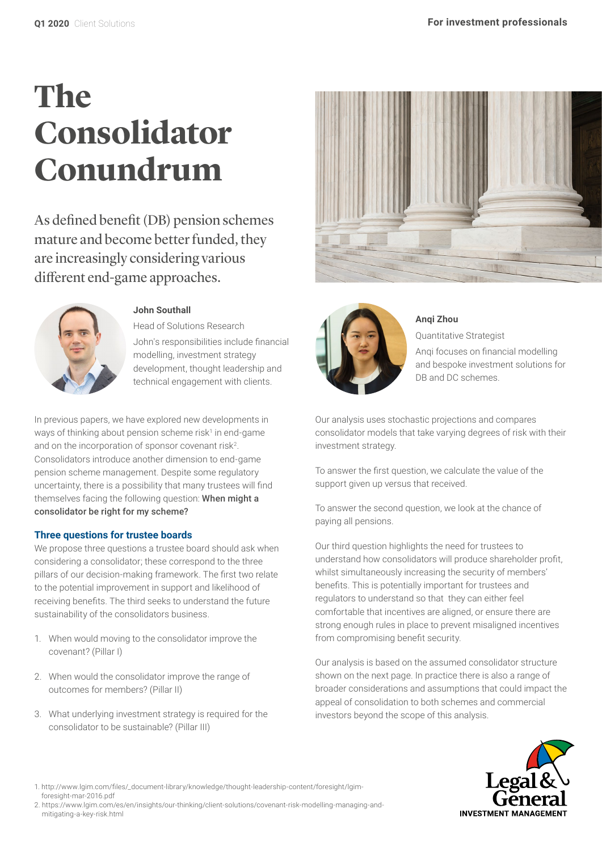# **The Consolidator Conundrum**

As defined benefit (DB) pension schemes mature and become better funded, they are increasingly considering various different end-game approaches.



# **John Southall**

Head of Solutions Research John's responsibilities include financial modelling, investment strategy development, thought leadership and technical engagement with clients.

In previous papers, we have explored new developments in ways of thinking about pension scheme risk1 in end-game and on the incorporation of sponsor covenant risk<sup>2</sup>. Consolidators introduce another dimension to end-game pension scheme management. Despite some regulatory uncertainty, there is a possibility that many trustees will find themselves facing the following question: When might a consolidator be right for my scheme?

# **Three questions for trustee boards**

We propose three questions a trustee board should ask when considering a consolidator; these correspond to the three pillars of our decision-making framework. The first two relate to the potential improvement in support and likelihood of receiving benefits. The third seeks to understand the future sustainability of the consolidators business.

- 1. When would moving to the consolidator improve the covenant? (Pillar I)
- 2. When would the consolidator improve the range of outcomes for members? (Pillar II)
- 3. What underlying investment strategy is required for the consolidator to be sustainable? (Pillar III)





# **Anqi Zhou**

Quantitative Strategist Anqi focuses on financial modelling and bespoke investment solutions for DB and DC schemes.

Our analysis uses stochastic projections and compares consolidator models that take varying degrees of risk with their investment strategy.

To answer the first question, we calculate the value of the support given up versus that received.

To answer the second question, we look at the chance of paying all pensions.

Our third question highlights the need for trustees to understand how consolidators will produce shareholder profit, whilst simultaneously increasing the security of members' benefits. This is potentially important for trustees and regulators to understand so that they can either feel comfortable that incentives are aligned, or ensure there are strong enough rules in place to prevent misaligned incentives from compromising benefit security.

Our analysis is based on the assumed consolidator structure shown on the next page. In practice there is also a range of broader considerations and assumptions that could impact the appeal of consolidation to both schemes and commercial investors beyond the scope of this analysis.



- 1. http://www.lgim.com/files/\_document-library/knowledge/thought-leadership-content/foresight/lgimforesight-mar-2016.pdf
- 2. https://www.lgim.com/es/en/insights/our-thinking/client-solutions/covenant-risk-modelling-managing-andmitigating-a-key-risk.html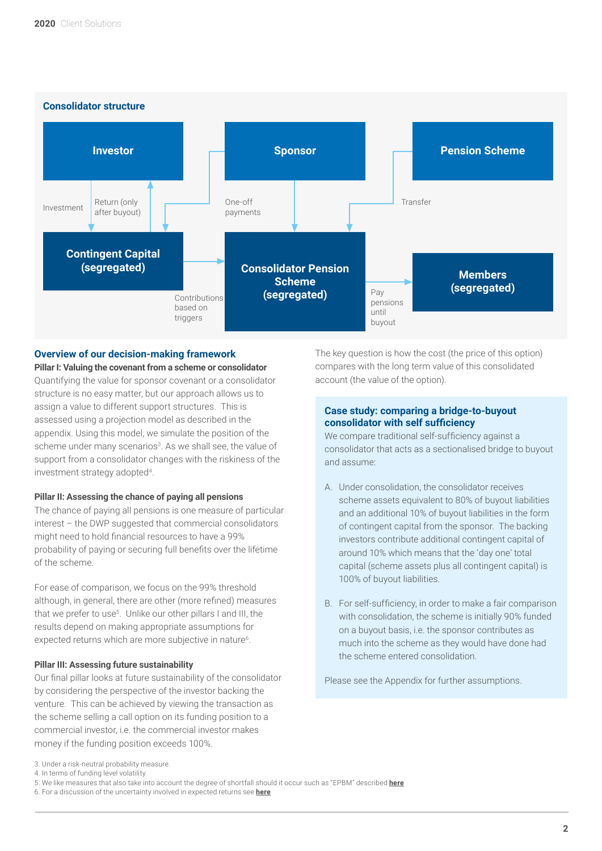

# **Overview of our decision-making framework**

**Pillar I: Valuing the covenant from a scheme or consolidator** Quantifying the value for sponsor covenant or a consolidator structure is no easy matter, but our approach allows us to assign a value to different support structures. This is assessed using a projection model as described in the appendix. Using this model, we simulate the position of the scheme under many scenarios<sup>3</sup>. As we shall see, the value of support from a consolidator changes with the riskiness of the investment strategy adopted<sup>4</sup>.

# **Pillar II: Assessing the chance of paying all pensions**

The chance of paying all pensions is one measure of particular interest – the DWP suggested that commercial consolidators might need to hold financial resources to have a 99% probability of paying or securing full benefits over the lifetime of the scheme.

For ease of comparison, we focus on the 99% threshold although, in general, there are other (more refined) measures that we prefer to use<sup>5</sup>. Unlike our other pillars I and III, the results depend on making appropriate assumptions for expected returns which are more subjective in nature<sup>6</sup>.

#### **Pillar III: Assessing future sustainability**

Our final pillar looks at future sustainability of the consolidator by considering the perspective of the investor backing the venture. This can be achieved by viewing the transaction as the scheme selling a call option on its funding position to a commercial investor, i.e. the commercial investor makes money if the funding position exceeds 100%.

The key question is how the cost (the price of this option) compares with the long term value of this consolidated account (the value of the option).

# **Case study: comparing a bridge-to-buyout consolidator with self sufficiency**

We compare traditional self-sufficiency against a consolidator that acts as a sectionalised bridge to buyout and assume:

- A. Under consolidation, the consolidator receives scheme assets equivalent to 80% of buyout liabilities and an additional 10% of buyout liabilities in the form of contingent capital from the sponsor. The backing investors contribute additional contingent capital of around 10% which means that the 'day one' total capital (scheme assets plus all contingent capital) is 100% of buyout liabilities.
- B. For self-sufficiency, in order to make a fair comparison with consolidation, the scheme is initially 90% funded on a buyout basis, i.e. the sponsor contributes as much into the scheme as they would have done had the scheme entered consolidation.

Please see the Appendix for further assumptions.

6. For a discussion of the uncertainty involved in expected returns see **[here](https://www.lgim.com/uk/en/insights/our-thinking/client-solutions/equities-for-the-long-run.html)**

<sup>3.</sup> Under a risk-neutral probability measure.

<sup>4.</sup> In terms of funding level volatility

<sup>5.</sup> We like measures that also take into account the degree of shortfall should it occur such as "EPBM" described **[here](https://www.lgim.com/uk/en/insights/our-thinking/client-solutions/covenant-risk-modelling-managing-and-mitigating-a-key-risk.html)**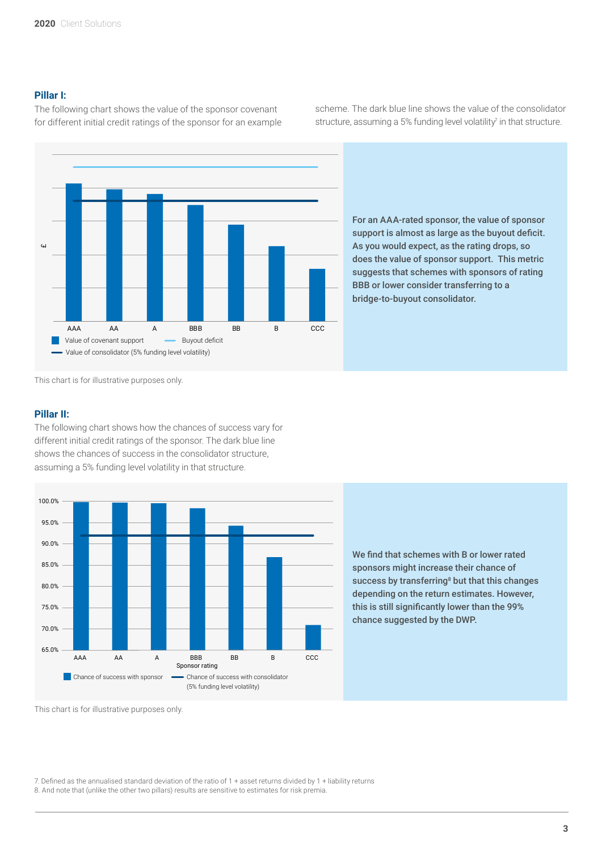# **Pillar I:**

The following chart shows the value of the sponsor covenant for different initial credit ratings of the sponsor for an example scheme. The dark blue line shows the value of the consolidator structure, assuming a 5% funding level volatility<sup>7</sup> in that structure.



For an AAA-rated sponsor, the value of sponsor support is almost as large as the buyout deficit. As you would expect, as the rating drops, so does the value of sponsor support. This metric suggests that schemes with sponsors of rating BBB or lower consider transferring to a bridge-to-buyout consolidator.

This chart is for illustrative purposes only.

# Pillar II:

The following chart shows how the chances of success vary for different initial credit ratings of the sponsor. The dark blue line shows the chances of success in the consolidator structure, assuming a 5% funding level volatility in that structure.



We find that schemes with B or lower rated sponsors might increase their chance of success by transferring<sup>8</sup> but that this changes depending on the return estimates. However, this is still significantly lower than the 99% chance suggested by the DWP.

This chart is for illustrative purposes only.

7. Defined as the annualised standard deviation of the ratio of 1 + asset returns divided by 1 + liability returns 8. And note that (unlike the other two pillars) results are sensitive to estimates for risk premia.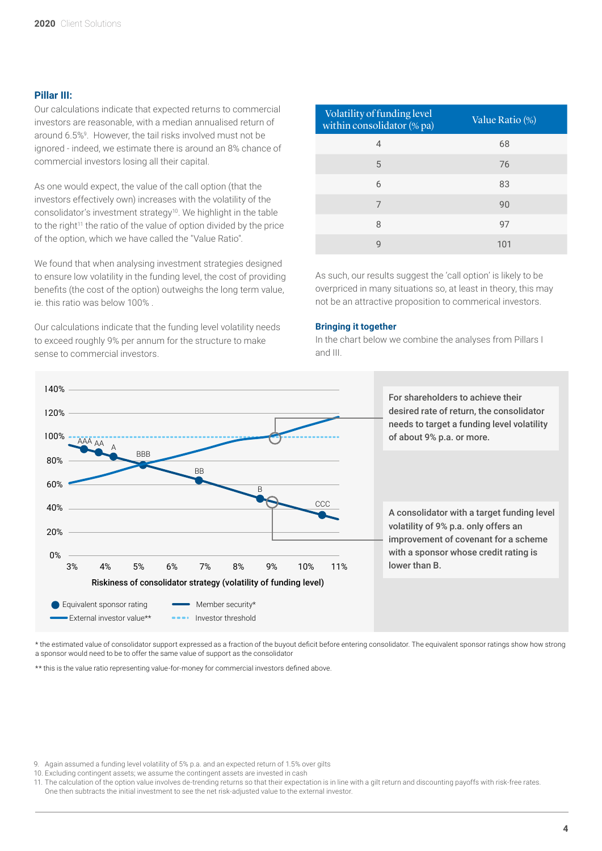#### **Pillar III:**

Our calculations indicate that expected returns to commercial investors are reasonable, with a median annualised return of around 6.5%9 . However, the tail risks involved must not be ignored - indeed, we estimate there is around an 8% chance of commercial investors losing all their capital.

As one would expect, the value of the call option (that the investors effectively own) increases with the volatility of the consolidator's investment strategy<sup>10</sup>. We highlight in the table to the right<sup>11</sup> the ratio of the value of option divided by the price of the option, which we have called the "Value Ratio".

We found that when analysing investment strategies designed to ensure low volatility in the funding level, the cost of providing benefits (the cost of the option) outweighs the long term value, ie. this ratio was below 100% .

Our calculations indicate that the funding level volatility needs to exceed roughly 9% per annum for the structure to make sense to commercial investors.

| Volatility of funding level<br>within consolidator (% pa) | Value Ratio (%) |
|-----------------------------------------------------------|-----------------|
| 4                                                         | 68              |
| 5                                                         | 76              |
| 6                                                         | 83              |
| 7                                                         | 90              |
| 8                                                         | 97              |
| 9                                                         | 101             |

As such, our results suggest the 'call option' is likely to be overpriced in many situations so, at least in theory, this may not be an attractive proposition to commerical investors.

#### **Bringing it together**

In the chart below we combine the analyses from Pillars I and III.



\* the estimated value of consolidator support expressed as a fraction of the buyout deficit before entering consolidator. The equivalent sponsor ratings show how strong a sponsor would need to be to offer the same value of support as the consolidator

\*\* this is the value ratio representing value-for-money for commercial investors defined above.

<sup>9.</sup> Again assumed a funding level volatility of 5% p.a. and an expected return of 1.5% over gilts

<sup>10.</sup> Excluding contingent assets; we assume the contingent assets are invested in cash

<sup>11.</sup> The calculation of the option value involves de-trending returns so that their expectation is in line with a gilt return and discounting payoffs with risk-free rates. One then subtracts the initial investment to see the net risk-adjusted value to the external investor.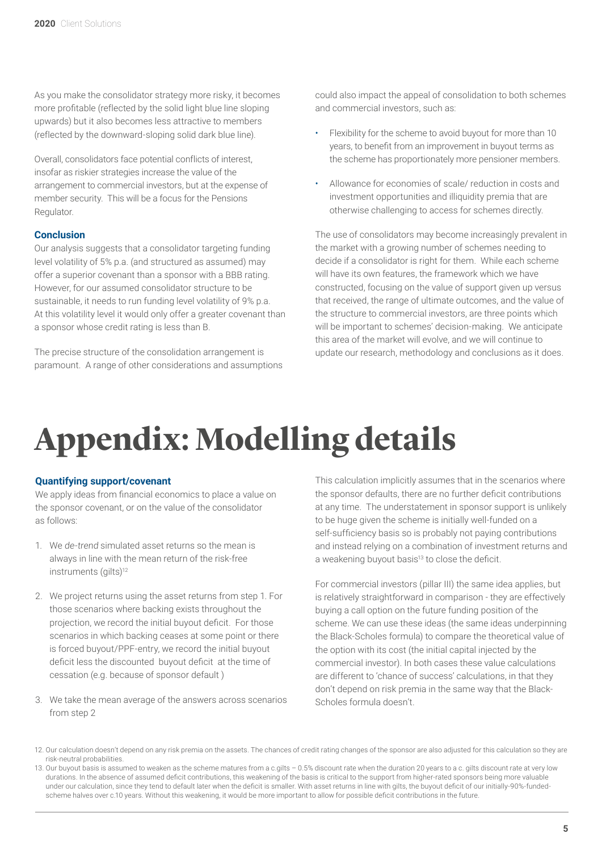As you make the consolidator strategy more risky, it becomes more profitable (reflected by the solid light blue line sloping upwards) but it also becomes less attractive to members (reflected by the downward-sloping solid dark blue line).

Overall, consolidators face potential conflicts of interest, insofar as riskier strategies increase the value of the arrangement to commercial investors, but at the expense of member security. This will be a focus for the Pensions Regulator.

# **Conclusion**

Our analysis suggests that a consolidator targeting funding level volatility of 5% p.a. (and structured as assumed) may offer a superior covenant than a sponsor with a BBB rating. However, for our assumed consolidator structure to be sustainable, it needs to run funding level volatility of 9% p.a. At this volatility level it would only offer a greater covenant than a sponsor whose credit rating is less than B.

The precise structure of the consolidation arrangement is paramount. A range of other considerations and assumptions could also impact the appeal of consolidation to both schemes and commercial investors, such as:

- Flexibility for the scheme to avoid buyout for more than 10 years, to benefit from an improvement in buyout terms as the scheme has proportionately more pensioner members.
- Allowance for economies of scale/ reduction in costs and investment opportunities and illiquidity premia that are otherwise challenging to access for schemes directly.

The use of consolidators may become increasingly prevalent in the market with a growing number of schemes needing to decide if a consolidator is right for them. While each scheme will have its own features, the framework which we have constructed, focusing on the value of support given up versus that received, the range of ultimate outcomes, and the value of the structure to commercial investors, are three points which will be important to schemes' decision-making. We anticipate this area of the market will evolve, and we will continue to update our research, methodology and conclusions as it does.

# **Appendix: Modelling details**

# **Quantifying support/covenant**

We apply ideas from financial economics to place a value on the sponsor covenant, or on the value of the consolidator as follows:

- 1. We de-trend simulated asset returns so the mean is always in line with the mean return of the risk-free instruments (gilts)<sup>12</sup>
- 2. We project returns using the asset returns from step 1. For those scenarios where backing exists throughout the projection, we record the initial buyout deficit. For those scenarios in which backing ceases at some point or there is forced buyout/PPF-entry, we record the initial buyout deficit less the discounted buyout deficit at the time of cessation (e.g. because of sponsor default )
- 3. We take the mean average of the answers across scenarios from step 2

This calculation implicitly assumes that in the scenarios where the sponsor defaults, there are no further deficit contributions at any time. The understatement in sponsor support is unlikely to be huge given the scheme is initially well-funded on a self-sufficiency basis so is probably not paying contributions and instead relying on a combination of investment returns and a weakening buyout basis<sup>13</sup> to close the deficit.

For commercial investors (pillar III) the same idea applies, but is relatively straightforward in comparison - they are effectively buying a call option on the future funding position of the scheme. We can use these ideas (the same ideas underpinning the Black-Scholes formula) to compare the theoretical value of the option with its cost (the initial capital injected by the commercial investor). In both cases these value calculations are different to 'chance of success' calculations, in that they don't depend on risk premia in the same way that the Black-Scholes formula doesn't.

- 12. Our calculation doesn't depend on any risk premia on the assets. The chances of credit rating changes of the sponsor are also adjusted for this calculation so they are risk-neutral probabilities.
- 13. Our buyout basis is assumed to weaken as the scheme matures from a c.gilts 0.5% discount rate when the duration 20 years to a c. gilts discount rate at very low durations. In the absence of assumed deficit contributions, this weakening of the basis is critical to the support from higher-rated sponsors being more valuable under our calculation, since they tend to default later when the deficit is smaller. With asset returns in line with gilts, the buyout deficit of our initially-90%-fundedscheme halves over c.10 years. Without this weakening, it would be more important to allow for possible deficit contributions in the future.